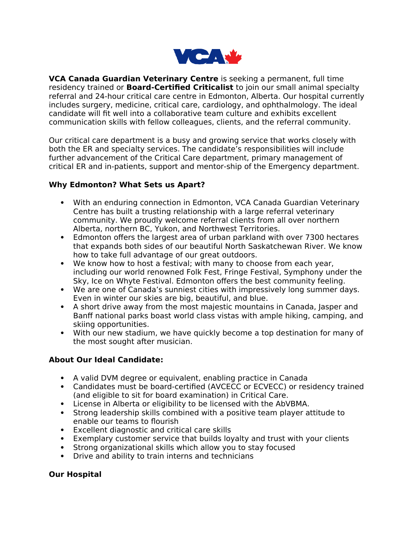

**VCA Canada Guardian Veterinary Centre** is seeking a permanent, full time residency trained or **Board-Certified Criticalist** to join our small animal specialty referral and 24-hour critical care centre in Edmonton, Alberta. Our hospital currently includes surgery, medicine, critical care, cardiology, and ophthalmology. The ideal candidate will fit well into a collaborative team culture and exhibits excellent communication skills with fellow colleagues, clients, and the referral community.

Our critical care department is a busy and growing service that works closely with both the ER and specialty services. The candidate's responsibilities will include further advancement of the Critical Care department, primary management of critical ER and in-patients, support and mentor-ship of the Emergency department.

## **Why Edmonton? What Sets us Apart?**

- With an enduring connection in Edmonton, VCA Canada Guardian Veterinary Centre has built a trusting relationship with a large referral veterinary community. We proudly welcome referral clients from all over northern Alberta, northern BC, Yukon, and Northwest Territories.
- Edmonton offers the largest area of urban parkland with over 7300 hectares that expands both sides of our beautiful North Saskatchewan River. We know how to take full advantage of our great outdoors.
- We know how to host a festival; with many to choose from each year, including our world renowned Folk Fest, Fringe Festival, Symphony under the Sky, Ice on Whyte Festival. Edmonton offers the best community feeling.
- We are one of Canada's sunniest cities with impressively long summer days. Even in winter our skies are big, beautiful, and blue.
- A short drive away from the most majestic mountains in Canada, Jasper and Banff national parks boast world class vistas with ample hiking, camping, and skiing opportunities.
- With our new stadium, we have quickly become a top destination for many of the most sought after musician.

## **About Our Ideal Candidate:**

- A valid DVM degree or equivalent, enabling practice in Canada
- Candidates must be board-certified (AVCECC or ECVECC) or residency trained (and eligible to sit for board examination) in Critical Care.
- License in Alberta or eligibility to be licensed with the AbVBMA.
- Strong leadership skills combined with a positive team player attitude to enable our teams to flourish
- Excellent diagnostic and critical care skills
- Exemplary customer service that builds loyalty and trust with your clients
- Strong organizational skills which allow you to stay focused
- Drive and ability to train interns and technicians

## **Our Hospital**